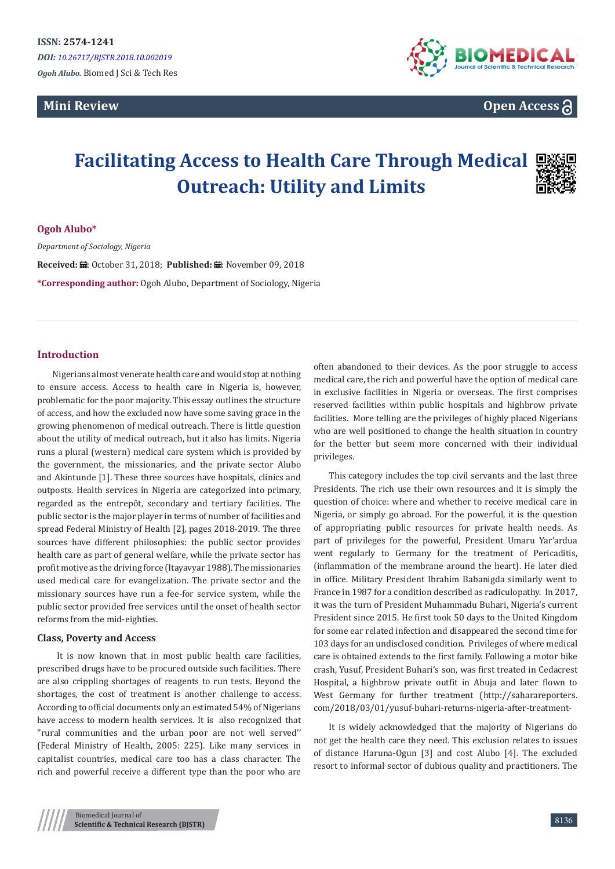# **Mini Review**



**Open Access**

# **Facilitating Access to Health Care Through Medical Outreach: Utility and Limits**



*Department of Sociology, Nigeria*

Received: *a* : October 31, 2018; Published: a: November 09, 2018 **\*Corresponding author:** Ogoh Alubo, Department of Sociology, Nigeria

# **Introduction**

Nigerians almost venerate health care and would stop at nothing to ensure access. Access to health care in Nigeria is, however, problematic for the poor majority. This essay outlines the structure of access, and how the excluded now have some saving grace in the growing phenomenon of medical outreach. There is little question about the utility of medical outreach, but it also has limits. Nigeria runs a plural (western) medical care system which is provided by the government, the missionaries, and the private sector Alubo and Akintunde [1]. These three sources have hospitals, clinics and outposts. Health services in Nigeria are categorized into primary, regarded as the entrepôt, secondary and tertiary facilities. The public sector is the major player in terms of number of facilities and spread Federal Ministry of Health [2], pages 2018-2019. The three sources have different philosophies: the public sector provides health care as part of general welfare, while the private sector has profit motive as the driving force (Itayavyar 1988). The missionaries used medical care for evangelization. The private sector and the missionary sources have run a fee-for service system, while the public sector provided free services until the onset of health sector reforms from the mid-eighties.

## **Class, Poverty and Access**

 It is now known that in most public health care facilities, prescribed drugs have to be procured outside such facilities. There are also crippling shortages of reagents to run tests. Beyond the shortages, the cost of treatment is another challenge to access. According to official documents only an estimated 54% of Nigerians have access to modern health services. It is also recognized that ''rural communities and the urban poor are not well served'' (Federal Ministry of Health, 2005: 225). Like many services in capitalist countries, medical care too has a class character. The rich and powerful receive a different type than the poor who are

often abandoned to their devices. As the poor struggle to access medical care, the rich and powerful have the option of medical care in exclusive facilities in Nigeria or overseas. The first comprises reserved facilities within public hospitals and highbrow private facilities. More telling are the privileges of highly placed Nigerians who are well positioned to change the health situation in country for the better but seem more concerned with their individual privileges.

This category includes the top civil servants and the last three Presidents. The rich use their own resources and it is simply the question of choice: where and whether to receive medical care in Nigeria, or simply go abroad. For the powerful, it is the question of appropriating public resources for private health needs. As part of privileges for the powerful, President Umaru Yar'ardua went regularly to Germany for the treatment of Pericaditis, (inflammation of the membrane around the heart). He later died in office. Military President Ibrahim Babanigda similarly went to France in 1987 for a condition described as radiculopathy. In 2017, it was the turn of President Muhammadu Buhari, Nigeria's current President since 2015. He first took 50 days to the United Kingdom for some ear related infection and disappeared the second time for 103 days for an undisclosed condition. Privileges of where medical care is obtained extends to the first family. Following a motor bike crash, Yusuf, President Buhari's son, was first treated in Cedacrest Hospital, a highbrow private outfit in Abuja and later flown to West Germany for further treatment (http://saharareporters. com/2018/03/01/yusuf-buhari-returns-nigeria-after-treatment-

It is widely acknowledged that the majority of Nigerians do not get the health care they need. This exclusion relates to issues of distance Haruna-Ogun [3] and cost Alubo [4]. The excluded resort to informal sector of dubious quality and practitioners. The